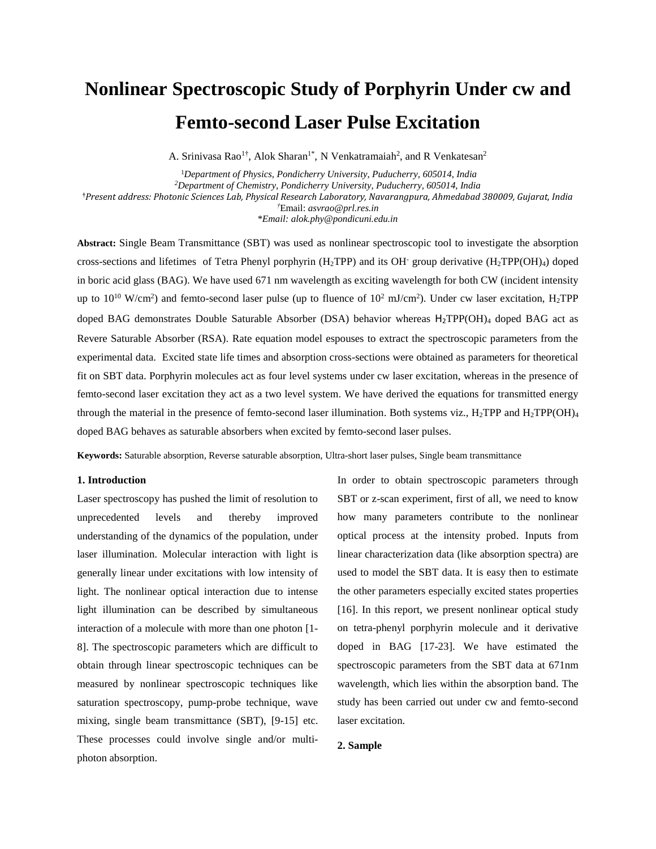# **Nonlinear Spectroscopic Study of Porphyrin Under cw and Femto-second Laser Pulse Excitation**

A. Srinivasa Rao<sup>1†</sup>, Alok Sharan<sup>1\*</sup>, N Venkatramaiah<sup>2</sup>, and R Venkatesan<sup>2</sup>

<sup>1</sup>*Department of Physics, Pondicherry University, Puducherry, 605014*, *India <sup>2</sup>Department of Chemistry, Pondicherry University, Puducherry, 605014, India* **†***Present address: Photonic Sciences Lab, Physical Research Laboratory, Navarangpura, Ahmedabad 380009, Gujarat, India †*Email: *asvrao@prl.res.in* \**Email: alok.phy@pondicuni.edu.in*

**Abstract:** Single Beam Transmittance (SBT) was used as nonlinear spectroscopic tool to investigate the absorption cross-sections and lifetimes of Tetra Phenyl porphyrin (H<sub>2</sub>TPP) and its OH<sup>-</sup> group derivative (H<sub>2</sub>TPP(OH)<sub>4</sub>) doped in boric acid glass (BAG). We have used 671 nm wavelength as exciting wavelength for both CW (incident intensity up to  $10^{10}$  W/cm<sup>2</sup>) and femto-second laser pulse (up to fluence of  $10^2$  mJ/cm<sup>2</sup>). Under cw laser excitation, H<sub>2</sub>TPP doped BAG demonstrates Double Saturable Absorber (DSA) behavior whereas H<sub>2</sub>TPP(OH)<sub>4</sub> doped BAG act as Revere Saturable Absorber (RSA). Rate equation model espouses to extract the spectroscopic parameters from the experimental data. Excited state life times and absorption cross-sections were obtained as parameters for theoretical fit on SBT data. Porphyrin molecules act as four level systems under cw laser excitation, whereas in the presence of femto-second laser excitation they act as a two level system. We have derived the equations for transmitted energy through the material in the presence of femto-second laser illumination. Both systems viz.,  $H_2TPP$  and  $H_2TPP(OH)_4$ doped BAG behaves as saturable absorbers when excited by femto-second laser pulses.

**Keywords:** Saturable absorption, Reverse saturable absorption, Ultra-short laser pulses, Single beam transmittance

#### **1. Introduction**

Laser spectroscopy has pushed the limit of resolution to unprecedented levels and thereby improved understanding of the dynamics of the population, under laser illumination. Molecular interaction with light is generally linear under excitations with low intensity of light. The nonlinear optical interaction due to intense light illumination can be described by simultaneous interaction of a molecule with more than one photon [1- 8]. The spectroscopic parameters which are difficult to obtain through linear spectroscopic techniques can be measured by nonlinear spectroscopic techniques like saturation spectroscopy, pump-probe technique, wave mixing, single beam transmittance (SBT), [9-15] etc. These processes could involve single and/or multiphoton absorption.

In order to obtain spectroscopic parameters through SBT or z-scan experiment, first of all, we need to know how many parameters contribute to the nonlinear optical process at the intensity probed. Inputs from linear characterization data (like absorption spectra) are used to model the SBT data. It is easy then to estimate the other parameters especially excited states properties [16]. In this report, we present nonlinear optical study on tetra-phenyl porphyrin molecule and it derivative doped in BAG [17-23]. We have estimated the spectroscopic parameters from the SBT data at 671nm wavelength, which lies within the absorption band. The study has been carried out under cw and femto-second laser excitation.

## **2. Sample**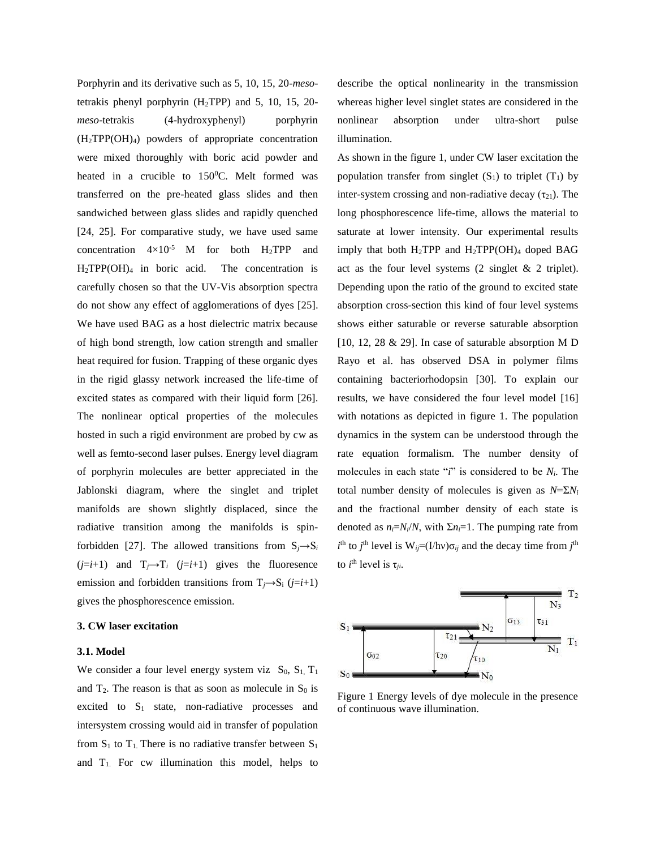Porphyrin and its derivative such as 5, 10, 15, 20-*meso*tetrakis phenyl porphyrin  $(H_2TPP)$  and 5, 10, 15, 20*meso*-tetrakis (4-hydroxyphenyl) porphyrin  $(H_2TPP(OH)_4)$  powders of appropriate concentration were mixed thoroughly with boric acid powder and heated in a crucible to 150°C. Melt formed was transferred on the pre-heated glass slides and then sandwiched between glass slides and rapidly quenched [24, 25]. For comparative study, we have used same concentration  $4\times10^{-5}$  M for both H<sub>2</sub>TPP and  $H_2TPP(OH)_4$  in boric acid. The concentration is carefully chosen so that the UV-Vis absorption spectra do not show any effect of agglomerations of dyes [25]. We have used BAG as a host dielectric matrix because of high bond strength, low cation strength and smaller heat required for fusion. Trapping of these organic dyes in the rigid glassy network increased the life-time of excited states as compared with their liquid form [26]. The nonlinear optical properties of the molecules hosted in such a rigid environment are probed by cw as well as femto-second laser pulses. Energy level diagram of porphyrin molecules are better appreciated in the Jablonski diagram, where the singlet and triplet manifolds are shown slightly displaced, since the radiative transition among the manifolds is spinforbidden [27]. The allowed transitions from  $S_i \rightarrow S_i$  $(j=i+1)$  and  $T_j \rightarrow T_i$   $(j=i+1)$  gives the fluoresence emission and forbidden transitions from  $T_i \rightarrow S_i$  ( $j=i+1$ ) gives the phosphorescence emission.

# **3. CW laser excitation**

#### **3.1. Model**

We consider a four level energy system viz  $S_0$ ,  $S_1$ ,  $T_1$ and  $T_2$ . The reason is that as soon as molecule in  $S_0$  is excited to  $S_1$  state, non-radiative processes and intersystem crossing would aid in transfer of population from  $S_1$  to  $T_1$ . There is no radiative transfer between  $S_1$ and  $T_1$ . For cw illumination this model, helps to describe the optical nonlinearity in the transmission whereas higher level singlet states are considered in the nonlinear absorption under ultra-short pulse illumination.

As shown in the figure 1, under CW laser excitation the population transfer from singlet  $(S_1)$  to triplet  $(T_1)$  by inter-system crossing and non-radiative decay  $(\tau_{21})$ . The long phosphorescence life-time, allows the material to saturate at lower intensity. Our experimental results imply that both  $H_2TPP$  and  $H_2TPP(OH)_4$  doped BAG act as the four level systems (2 singlet & 2 triplet). Depending upon the ratio of the ground to excited state absorption cross-section this kind of four level systems shows either saturable or reverse saturable absorption [10, 12, 28 & 29]. In case of saturable absorption M D Rayo et al. has observed DSA in polymer films containing bacteriorhodopsin [30]. To explain our results, we have considered the four level model [16] with notations as depicted in figure 1. The population dynamics in the system can be understood through the rate equation formalism. The number density of molecules in each state "*i*" is considered to be *Ni*. The total number density of molecules is given as  $N=\sum N_i$ and the fractional number density of each state is denoted as  $n_i = N_i/N$ , with  $\Sigma n_i = 1$ . The pumping rate from  $i$ <sup>th</sup> to *j*<sup>th</sup> level is  $W_{ij} = (I/hv)\sigma_{ij}$  and the decay time from *j*<sup>th</sup> to  $i^{\text{th}}$  level is  $\tau_{ji}$ .



Figure 1 Energy levels of dye molecule in the presence of continuous wave illumination.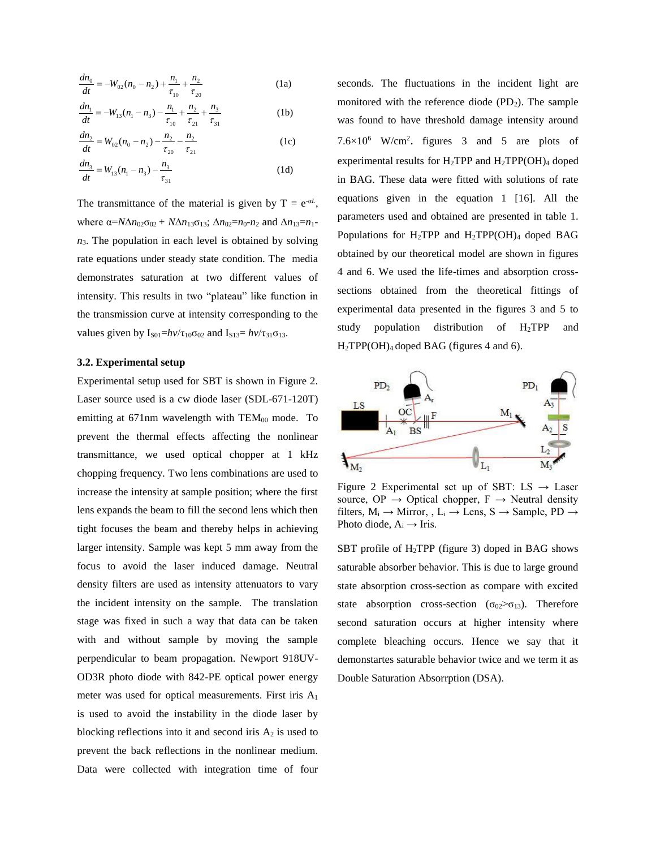$$
\frac{dn_0}{dt} = -W_{02}(n_0 - n_2) + \frac{n_1}{\tau_{10}} + \frac{n_2}{\tau_{20}}\tag{1a}
$$

$$
\frac{dn_1}{dt} = -W_{13}(n_1 - n_3) - \frac{n_1}{\tau_{10}} + \frac{n_2}{\tau_{21}} + \frac{n_3}{\tau_{31}}
$$
(1b)

$$
\frac{dn_2}{dt} = W_{02}(n_0 - n_2) - \frac{n_2}{\tau_{20}} - \frac{n_2}{\tau_{21}}
$$
 (1c)

$$
\frac{dn_3}{dt} = W_{13}(n_1 - n_3) - \frac{n_3}{\tau_{31}}
$$
 (1d)

The transmittance of the material is given by  $T = e^{-\alpha L}$ , where  $\alpha = N\Delta n_{02}\sigma_{02} + N\Delta n_{13}\sigma_{13}$ ;  $\Delta n_{02} = n_0 - n_2$  and  $\Delta n_{13} = n_1$  $n_3$ . The population in each level is obtained by solving rate equations under steady state condition. The media demonstrates saturation at two different values of intensity. This results in two "plateau" like function in the transmission curve at intensity corresponding to the values given by  $I_{S01} = h\nu/\tau_{10}\sigma_{02}$  and  $I_{S13} = h\nu/\tau_{31}\sigma_{13}$ .

## **3.2. Experimental setup**

Experimental setup used for SBT is shown in Figure 2. Laser source used is a cw diode laser (SDL-671-120T) emitting at  $671$ nm wavelength with  $TEM_{00}$  mode. To prevent the thermal effects affecting the nonlinear transmittance, we used optical chopper at 1 kHz chopping frequency. Two lens combinations are used to increase the intensity at sample position; where the first lens expands the beam to fill the second lens which then tight focuses the beam and thereby helps in achieving larger intensity. Sample was kept 5 mm away from the focus to avoid the laser induced damage. Neutral density filters are used as intensity attenuators to vary the incident intensity on the sample. The translation stage was fixed in such a way that data can be taken with and without sample by moving the sample perpendicular to beam propagation. Newport 918UV-OD3R photo diode with 842-PE optical power energy meter was used for optical measurements. First iris A<sup>1</sup> is used to avoid the instability in the diode laser by blocking reflections into it and second iris  $A_2$  is used to prevent the back reflections in the nonlinear medium. Data were collected with integration time of four

seconds. The fluctuations in the incident light are monitored with the reference diode  $(PD_2)$ . The sample was found to have threshold damage intensity around  $7.6 \times 10^6$  W/cm<sup>2</sup>. figures 3 and 5 are plots of experimental results for  $H_2TPP$  and  $H_2TPP(OH)_4$  doped in BAG. These data were fitted with solutions of rate equations given in the equation 1 [16]. All the parameters used and obtained are presented in table 1. Populations for H2TPP and H2TPP(OH)<sup>4</sup> doped BAG obtained by our theoretical model are shown in figures 4 and 6. We used the life-times and absorption crosssections obtained from the theoretical fittings of experimental data presented in the figures 3 and 5 to study population distribution of H2TPP and H2TPP(OH)4 doped BAG (figures 4 and 6).



Figure 2 Experimental set up of SBT: LS  $\rightarrow$  Laser source, OP  $\rightarrow$  Optical chopper, F  $\rightarrow$  Neutral density filters,  $M_i \rightarrow$  Mirror, ,  $L_i \rightarrow$  Lens, S  $\rightarrow$  Sample, PD  $\rightarrow$ Photo diode,  $A_i \rightarrow Iris$ .

SBT profile of  $H_2$ TPP (figure 3) doped in BAG shows saturable absorber behavior. This is due to large ground state absorption cross-section as compare with excited state absorption cross-section ( $\sigma_{02} > \sigma_{13}$ ). Therefore second saturation occurs at higher intensity where complete bleaching occurs. Hence we say that it demonstartes saturable behavior twice and we term it as Double Saturation Absorrption (DSA).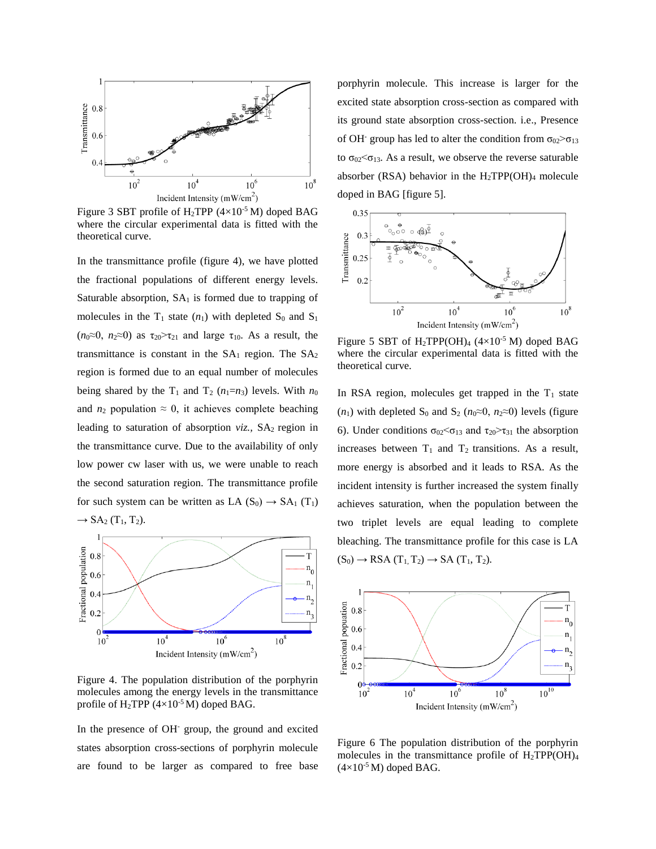

Figure 3 SBT profile of  $H_2$ TPP (4×10<sup>-5</sup> M) doped BAG where the circular experimental data is fitted with the theoretical curve.

In the transmittance profile (figure 4), we have plotted the fractional populations of different energy levels. Saturable absorption,  $SA<sub>1</sub>$  is formed due to trapping of molecules in the  $T_1$  state  $(n_1)$  with depleted  $S_0$  and  $S_1$ ( $n_0 \approx 0$ ,  $n_2 \approx 0$ ) as  $\tau_{20} > \tau_{21}$  and large  $\tau_{10}$ . As a result, the transmittance is constant in the  $SA<sub>1</sub>$  region. The  $SA<sub>2</sub>$ region is formed due to an equal number of molecules being shared by the  $T_1$  and  $T_2$  ( $n_1=n_3$ ) levels. With  $n_0$ and  $n_2$  population  $\approx 0$ , it achieves complete beaching leading to saturation of absorption *viz.*, SA<sub>2</sub> region in the transmittance curve. Due to the availability of only low power cw laser with us, we were unable to reach the second saturation region. The transmittance profile for such system can be written as LA  $(S_0) \rightarrow SA_1(T_1)$  $\rightarrow$  SA<sub>2</sub> (T<sub>1</sub>, T<sub>2</sub>).



Figure 4. The population distribution of the porphyrin molecules among the energy levels in the transmittance profile of H<sub>2</sub>TPP  $(4\times10^{-5} M)$  doped BAG.

In the presence of OH- group, the ground and excited states absorption cross-sections of porphyrin molecule are found to be larger as compared to free base

porphyrin molecule. This increase is larger for the excited state absorption cross-section as compared with its ground state absorption cross-section. i.e., Presence of OH<sup>-</sup> group has led to alter the condition from  $\sigma_{02} > \sigma_{13}$ to  $\sigma_{02} < \sigma_{13}$ . As a result, we observe the reverse saturable absorber (RSA) behavior in the  $H_2TPP(OH)_4$  molecule doped in BAG [figure 5].



Figure 5 SBT of H<sub>2</sub>TPP(OH)<sub>4</sub> ( $4\times10^{-5}$  M) doped BAG where the circular experimental data is fitted with the theoretical curve.

In RSA region, molecules get trapped in the  $T_1$  state  $(n_1)$  with depleted S<sub>0</sub> and S<sub>2</sub> ( $n_0 \approx 0$ ,  $n_2 \approx 0$ ) levels (figure 6). Under conditions  $\sigma_{02} < \sigma_{13}$  and  $\tau_{20} > \tau_{31}$  the absorption increases between  $T_1$  and  $T_2$  transitions. As a result, more energy is absorbed and it leads to RSA. As the incident intensity is further increased the system finally achieves saturation, when the population between the two triplet levels are equal leading to complete bleaching. The transmittance profile for this case is LA  $(S_0) \rightarrow$  RSA  $(T_1, T_2) \rightarrow$  SA  $(T_1, T_2)$ .



Figure 6 The population distribution of the porphyrin molecules in the transmittance profile of  $H_2TPP(OH)_4$  $(4\times10^{-5}$  M) doped BAG.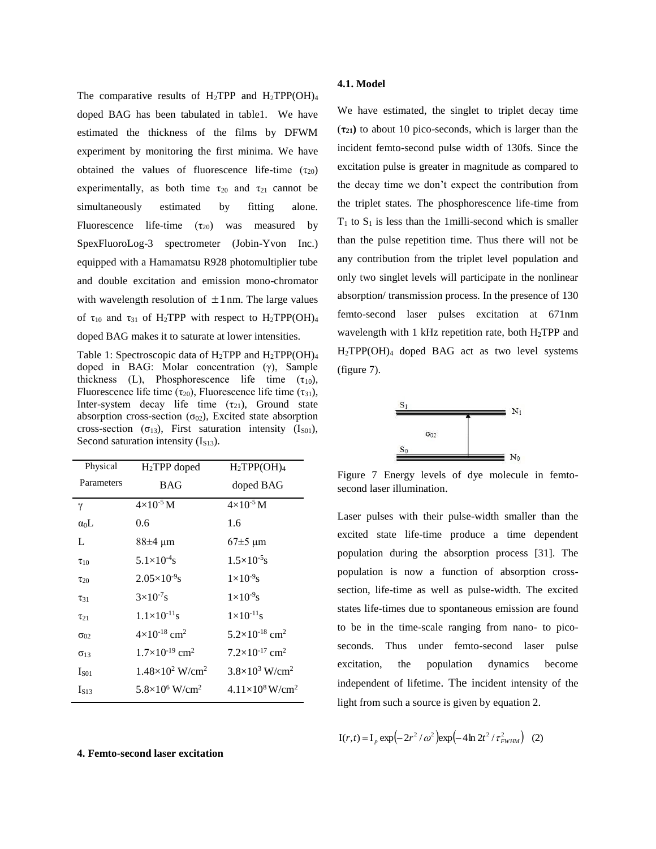The comparative results of H<sub>2</sub>TPP and H<sub>2</sub>TPP(OH)<sub>4</sub> doped BAG has been tabulated in table1. We have estimated the thickness of the films by DFWM experiment by monitoring the first minima. We have obtained the values of fluorescence life-time  $(\tau_{20})$ experimentally, as both time  $\tau_{20}$  and  $\tau_{21}$  cannot be simultaneously estimated by fitting alone. Fluorescence life-time  $(\tau_{20})$  was measured by SpexFluoroLog-3 spectrometer (Jobin-Yvon Inc.) equipped with a Hamamatsu R928 photomultiplier tube and double excitation and emission mono-chromator with wavelength resolution of  $\pm 1$  nm. The large values of  $\tau_{10}$  and  $\tau_{31}$  of H<sub>2</sub>TPP with respect to H<sub>2</sub>TPP(OH)<sub>4</sub> doped BAG makes it to saturate at lower intensities.

Table 1: Spectroscopic data of  $H_2$ TPP and  $H_2$ TPP(OH)<sub>4</sub> doped in BAG: Molar concentration (γ), Sample thickness (L), Phosphorescence life time  $(\tau_{10})$ , Fluorescence life time ( $\tau_{20}$ ), Fluorescence life time ( $\tau_{31}$ ), Inter-system decay life time  $(\tau_{21})$ , Ground state absorption cross-section  $(\sigma_{02})$ , Excited state absorption cross-section ( $\sigma_{13}$ ), First saturation intensity (I<sub>S01</sub>), Second saturation intensity  $(I<sub>S13</sub>)$ .

| Physical         | $H_2$ TPP doped                      | $H_2TPP(OH)_4$                      |
|------------------|--------------------------------------|-------------------------------------|
| Parameters       | <b>BAG</b>                           | doped BAG                           |
| γ                | $4\times10^{-5}$ M                   | $4\times10^{-5}$ M                  |
| $\alpha_0$ L     | 0.6                                  | 1.6                                 |
| L                | 88±4 µm                              | $67\pm5 \text{ }\mu\text{m}$        |
| $\tau_{10}$      | $5.1\times10^{-4}$ s                 | $1.5\times10^{-5}$ s                |
| $\tau_{20}$      | $2.05\times10^{-9}$ s                | $1\times10^{-9}$ s                  |
| $\tau_{31}$      | $3\times10^{-7}$ s                   | $1\times10^{-9}$ s                  |
| $\tau_{21}$      | $1.1 \times 10^{-11}$ s              | $1\times10^{-11}$ s                 |
| $\sigma_{02}$    | $4 \times 10^{-18}$ cm <sup>2</sup>  | $5.2\times10^{-18}$ cm <sup>2</sup> |
| $\sigma_{13}$    | $1.7\times10^{-19}$ cm <sup>2</sup>  | $7.2\times10^{-17}$ cm <sup>2</sup> |
| I <sub>SO1</sub> | $1.48\times10^{2}$ W/cm <sup>2</sup> | $3.8\times10^3$ W/cm <sup>2</sup>   |
| $I_{S13}$        | $5.8\times10^6$ W/cm <sup>2</sup>    | $4.11\times10^8$ W/cm <sup>2</sup>  |
|                  |                                      |                                     |

### **4. Femto-second laser excitation**

#### **4.1. Model**

We have estimated, the singlet to triplet decay time (**τ21)** to about 10 pico-seconds, which is larger than the incident femto-second pulse width of 130fs. Since the excitation pulse is greater in magnitude as compared to the decay time we don't expect the contribution from the triplet states. The phosphorescence life-time from  $T_1$  to  $S_1$  is less than the 1milli-second which is smaller than the pulse repetition time. Thus there will not be any contribution from the triplet level population and only two singlet levels will participate in the nonlinear absorption/ transmission process. In the presence of 130 femto-second laser pulses excitation at 671nm wavelength with 1 kHz repetition rate, both  $H_2$ TPP and H2TPP(OH)<sup>4</sup> doped BAG act as two level systems (figure 7).



Figure 7 Energy levels of dye molecule in femtosecond laser illumination.

Laser pulses with their pulse-width smaller than the excited state life-time produce a time dependent population during the absorption process [31]. The population is now a function of absorption crosssection, life-time as well as pulse-width. The excited states life-times due to spontaneous emission are found to be in the time-scale ranging from nano- to picoseconds. Thus under femto-second laser pulse excitation, the population dynamics become independent of lifetime. The incident intensity of the light from such a source is given by equation 2.

$$
I(r,t) = I_p \exp(-2r^2/\omega^2) \exp(-4\ln 2t^2/\tau_{FWHM}^2)
$$
 (2)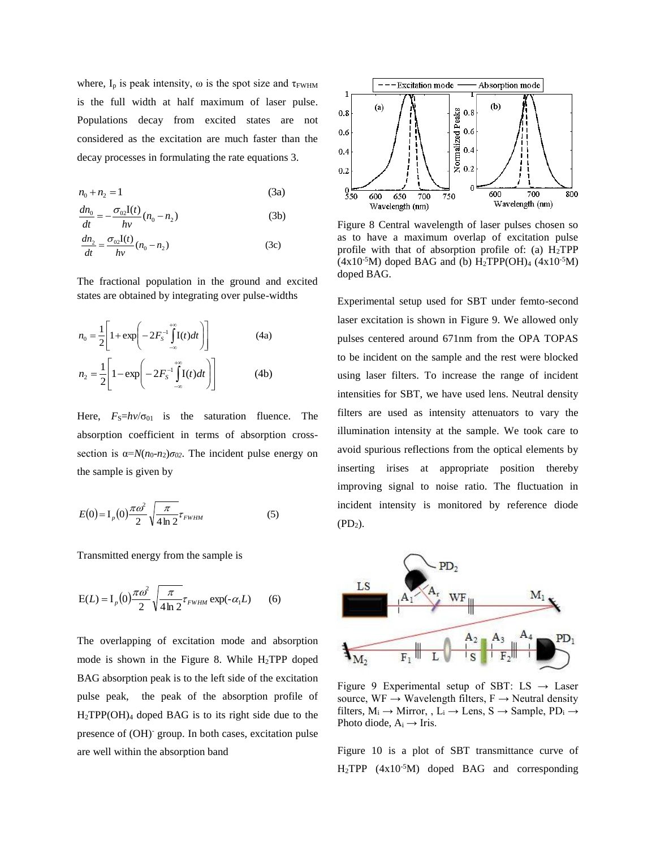where,  $I_p$  is peak intensity,  $\omega$  is the spot size and  $\tau_{FWHM}$ is the full width at half maximum of laser pulse. Populations decay from excited states are not considered as the excitation are much faster than the decay processes in formulating the rate equations 3.

$$
n_0 + n_2 = 1 \tag{3a}
$$

$$
\frac{dn_0}{dt} = -\frac{\sigma_{02}I(t)}{hv}(n_0 - n_2)
$$
 (3b)

$$
\frac{dn_2}{dt} = \frac{\sigma_{02}I(t)}{hv}(n_0 - n_2)
$$
 (3c)

The fractional population in the ground and excited states are obtained by integrating over pulse-widths

$$
n_0 = \frac{1}{2} \left[ 1 + \exp\left( -2F_s^{-1} \int_{-\infty}^{+\infty} I(t) dt \right) \right]
$$
 (4a)  

$$
n_2 = \frac{1}{2} \left[ 1 - \exp\left( -2F_s^{-1} \int_{-\infty}^{+\infty} I(t) dt \right) \right]
$$
 (4b)

Here,  $F_S=hv/\sigma_{01}$  is the saturation fluence. The absorption coefficient in terms of absorption crosssection is  $\alpha = N(n_0 - n_2)\sigma_{02}$ . The incident pulse energy on the sample is given by

$$
E(0) = I_p(0) \frac{\pi \omega^2}{2} \sqrt{\frac{\pi}{4 \ln 2}} \tau_{FWHM}
$$
 (5)

Transmitted energy from the sample is

$$
E(L) = I_p(0)\frac{\pi\omega^2}{2}\sqrt{\frac{\pi}{4\ln 2}}\tau_{FWHM} \exp(-\alpha_1 L)
$$
 (6)

The overlapping of excitation mode and absorption mode is shown in the Figure 8. While  $H_2TPP$  doped BAG absorption peak is to the left side of the excitation pulse peak, the peak of the absorption profile of  $H_2TPP(OH)_4$  doped BAG is to its right side due to the presence of (OH)- group. In both cases, excitation pulse are well within the absorption band



Figure 8 Central wavelength of laser pulses chosen so as to have a maximum overlap of excitation pulse profile with that of absorption profile of: (a)  $H_2 TPP$  $(4x10^{-5}M)$  doped BAG and (b) H<sub>2</sub>TPP(OH)<sub>4</sub>  $(4x10^{-5}M)$ doped BAG.

Experimental setup used for SBT under femto-second laser excitation is shown in Figure 9. We allowed only pulses centered around 671nm from the OPA TOPAS to be incident on the sample and the rest were blocked using laser filters. To increase the range of incident intensities for SBT, we have used lens. Neutral density filters are used as intensity attenuators to vary the illumination intensity at the sample. We took care to avoid spurious reflections from the optical elements by inserting irises at appropriate position thereby improving signal to noise ratio. The fluctuation in incident intensity is monitored by reference diode  $(PD<sub>2</sub>)$ .



Figure 9 Experimental setup of SBT:  $LS \rightarrow Laser$ source,  $WF \rightarrow Wavelength$  filters,  $F \rightarrow Neutrial$  density filters,  $M_i \rightarrow$  Mirror, ,  $L_i \rightarrow$  Lens,  $S \rightarrow$  Sample,  $PD_i \rightarrow$ Photo diode,  $A_i \rightarrow Iris$ .

Figure 10 is a plot of SBT transmittance curve of  $H_2$ TPP (4x10<sup>-5</sup>M) doped BAG and corresponding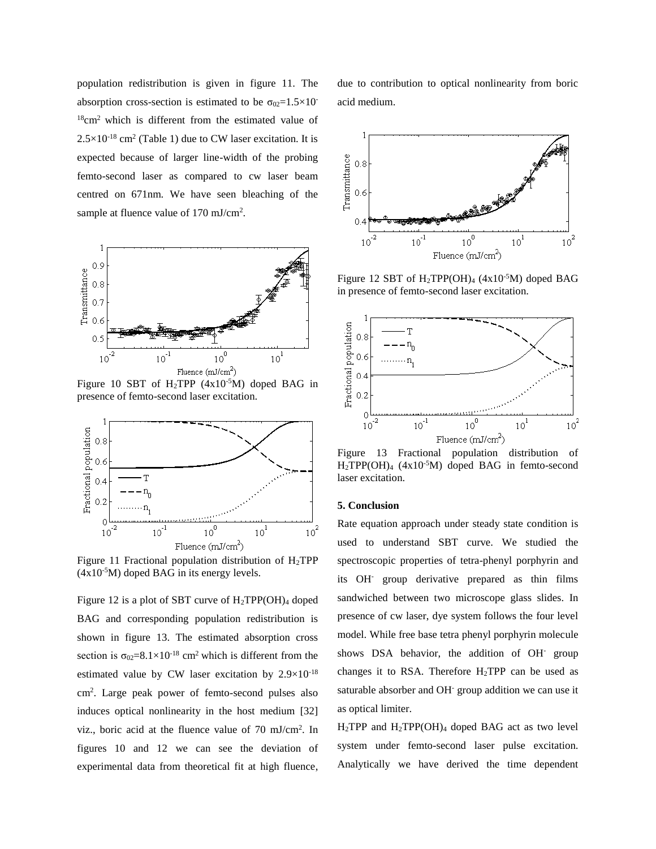population redistribution is given in figure 11. The absorption cross-section is estimated to be  $\sigma_{02}=1.5\times10^{-7}$  $18$ cm<sup>2</sup> which is different from the estimated value of  $2.5 \times 10^{-18}$  cm<sup>2</sup> (Table 1) due to CW laser excitation. It is expected because of larger line-width of the probing femto-second laser as compared to cw laser beam centred on 671nm. We have seen bleaching of the sample at fluence value of 170 mJ/cm<sup>2</sup>.



Figure 10 SBT of  $H_2$ TPP (4x10<sup>-5</sup>M) doped BAG in presence of femto-second laser excitation.



Figure 11 Fractional population distribution of  $H_2$ TPP  $(4x10<sup>-5</sup>M)$  doped BAG in its energy levels.

Figure 12 is a plot of SBT curve of H2TPP(OH)<sup>4</sup> doped BAG and corresponding population redistribution is shown in figure 13. The estimated absorption cross section is  $\sigma_{02} = 8.1 \times 10^{-18}$  cm<sup>2</sup> which is different from the estimated value by CW laser excitation by 2.9×10-18 cm<sup>2</sup> . Large peak power of femto-second pulses also induces optical nonlinearity in the host medium [32] viz., boric acid at the fluence value of 70 mJ/cm<sup>2</sup> . In figures 10 and 12 we can see the deviation of experimental data from theoretical fit at high fluence,

due to contribution to optical nonlinearity from boric acid medium.



Figure 12 SBT of  $H_2TPP(OH)_4$  (4x10<sup>-5</sup>M) doped BAG in presence of femto-second laser excitation.



Figure 13 Fractional population distribution of H2TPP(OH)<sup>4</sup> (4x10-5M) doped BAG in femto-second laser excitation.

## **5. Conclusion**

Rate equation approach under steady state condition is used to understand SBT curve. We studied the spectroscopic properties of tetra-phenyl porphyrin and its OH- group derivative prepared as thin films sandwiched between two microscope glass slides. In presence of cw laser, dye system follows the four level model. While free base tetra phenyl porphyrin molecule shows DSA behavior, the addition of OH- group changes it to RSA. Therefore H2TPP can be used as saturable absorber and OH<sup>-</sup> group addition we can use it as optical limiter.

 $H_2$ TPP and  $H_2$ TPP(OH)<sub>4</sub> doped BAG act as two level system under femto-second laser pulse excitation. Analytically we have derived the time dependent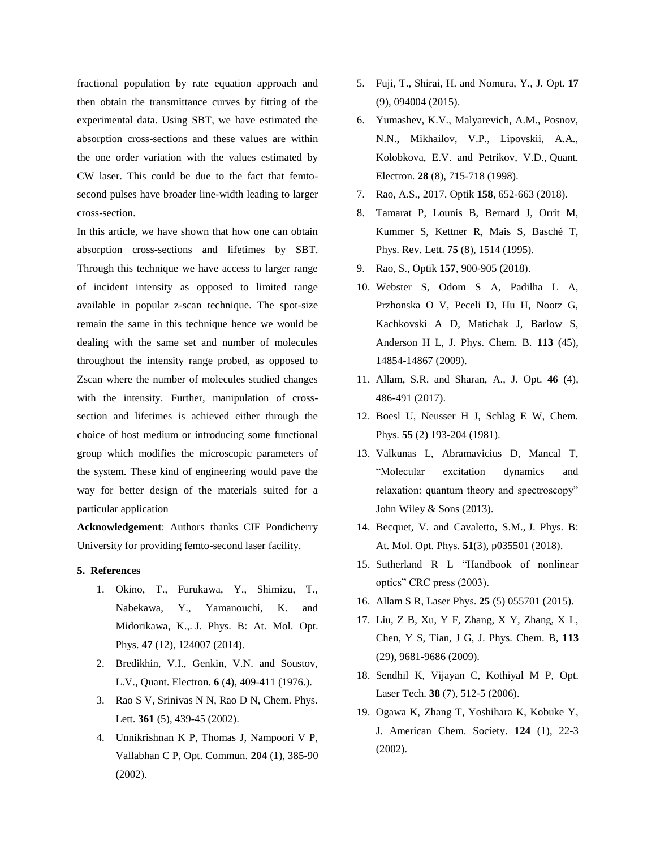fractional population by rate equation approach and then obtain the transmittance curves by fitting of the experimental data. Using SBT, we have estimated the absorption cross-sections and these values are within the one order variation with the values estimated by CW laser. This could be due to the fact that femtosecond pulses have broader line-width leading to larger cross-section.

In this article, we have shown that how one can obtain absorption cross-sections and lifetimes by SBT. Through this technique we have access to larger range of incident intensity as opposed to limited range available in popular z-scan technique. The spot-size remain the same in this technique hence we would be dealing with the same set and number of molecules throughout the intensity range probed, as opposed to Zscan where the number of molecules studied changes with the intensity. Further, manipulation of crosssection and lifetimes is achieved either through the choice of host medium or introducing some functional group which modifies the microscopic parameters of the system. These kind of engineering would pave the way for better design of the materials suited for a particular application

**Acknowledgement**: Authors thanks CIF Pondicherry University for providing femto-second laser facility.

## **5. References**

- 1. Okino, T., Furukawa, Y., Shimizu, T., Nabekawa, Y., Yamanouchi, K. and Midorikawa, K.,. J. Phys. B: At. Mol. Opt. Phys. **47** (12), 124007 (2014).
- 2. Bredikhin, V.I., Genkin, V.N. and Soustov, L.V., Quant. Electron. **6** (4), 409-411 (1976.).
- 3. Rao S V, Srinivas N N, Rao D N, Chem. Phys. Lett. **361** (5), 439-45 (2002).
- 4. Unnikrishnan K P, Thomas J, Nampoori V P, Vallabhan C P, Opt. Commun. **204** (1), 385-90 (2002).
- 5. Fuji, T., Shirai, H. and Nomura, Y., J. Opt. **17** (9), 094004 (2015).
- 6. Yumashev, K.V., Malyarevich, A.M., Posnov, N.N., Mikhailov, V.P., Lipovskii, A.A., Kolobkova, E.V. and Petrikov, V.D., Quant. Electron. **28** (8), 715-718 (1998).
- 7. Rao, A.S., 2017. Optik **158**, 652-663 (2018).
- 8. Tamarat P, Lounis B, Bernard J, Orrit M, Kummer S, Kettner R, Mais S, Basché T, Phys. Rev. Lett. **75** (8), 1514 (1995).
- 9. Rao, S., Optik **157**, 900-905 (2018).
- 10. Webster S, Odom S A, Padilha L A, Przhonska O V, Peceli D, Hu H, Nootz G, Kachkovski A D, Matichak J, Barlow S, Anderson H L, J. Phys. Chem. B. **113** (45), 14854-14867 (2009).
- 11. Allam, S.R. and Sharan, A., J. Opt. **46** (4), 486-491 (2017).
- 12. Boesl U, Neusser H J, Schlag E W, Chem. Phys. **55** (2) 193-204 (1981).
- 13. Valkunas L, Abramavicius D, Mancal T, "Molecular excitation dynamics and relaxation: quantum theory and spectroscopy" John Wiley & Sons (2013).
- 14. Becquet, V. and Cavaletto, S.M., J. Phys. B: At. Mol. Opt. Phys. **51**(3), p035501 (2018).
- 15. Sutherland R L "Handbook of nonlinear optics" CRC press (2003).
- 16. Allam S R, Laser Phys. **25** (5) 055701 (2015).
- 17. Liu, Z B, Xu, Y F, Zhang, X Y, Zhang, X L, Chen, Y S, Tian, J G, J. Phys. Chem. B, **113** (29), 9681-9686 (2009).
- 18. Sendhil K, Vijayan C, Kothiyal M P, Opt. Laser Tech. **38** (7), 512-5 (2006).
- 19. Ogawa K, Zhang T, Yoshihara K, Kobuke Y, J. American Chem. Society. **124** (1), 22-3 (2002).